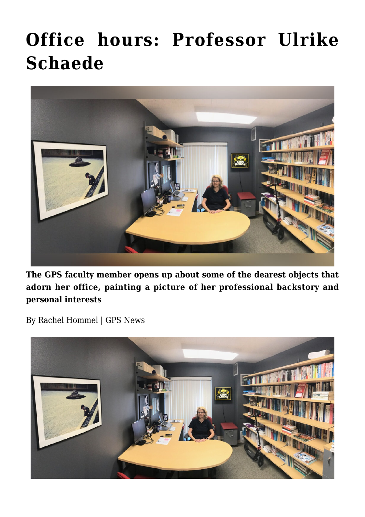## **[Office hours: Professor Ulrike](https://gpsnews.ucsd.edu/office-hours-professor-ulrike-schaede/) [Schaede](https://gpsnews.ucsd.edu/office-hours-professor-ulrike-schaede/)**



**The GPS faculty member opens up about some of the dearest objects that adorn her office, painting a picture of her professional backstory and personal interests**

By Rachel Hommel | GPS News